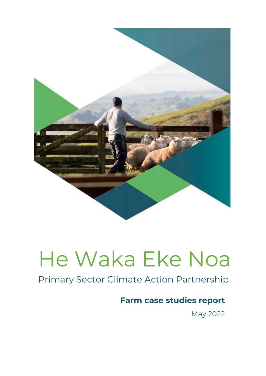

## Primary Sector Climate Action Partnership

## **Farm case studies report**

May 2022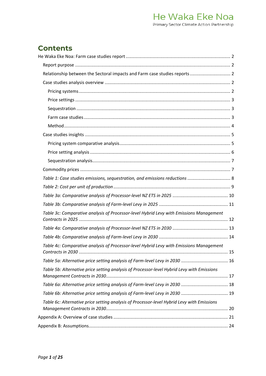## **Contents**

| Table 1: Case studies emissions, sequestration, and emissions reductions  8                |  |
|--------------------------------------------------------------------------------------------|--|
|                                                                                            |  |
|                                                                                            |  |
|                                                                                            |  |
| Table 3c: Comparative analysis of Processor-level Hybrid Levy with Emissions Management    |  |
|                                                                                            |  |
|                                                                                            |  |
| Table 4c: Comparative analysis of Processor-level Hybrid Levy with Emissions Management    |  |
|                                                                                            |  |
| Table 5b: Alternative price setting analysis of Processor-level Hybrid Levy with Emissions |  |
|                                                                                            |  |
|                                                                                            |  |
| Table 6c: Alternative price setting analysis of Processor-level Hybrid Levy with Emissions |  |
|                                                                                            |  |
|                                                                                            |  |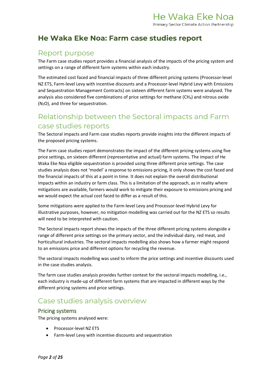### <span id="page-2-0"></span>**He Waka Eke Noa: Farm case studies report**

### <span id="page-2-1"></span>Report purpose

The Farm case studies report provides a financial analysis of the impacts of the pricing system and settings on a range of different farm systems within each industry.

The estimated cost faced and financial impacts of three different pricing systems (Processor-level NZ ETS, Farm-level Levy with incentive discounts and a Processor-level Hybrid Levy with Emissions and Sequestration Management Contracts) on sixteen different farm systems were analysed. The analysis also considered five combinations of price settings for methane  $(CH<sub>4</sub>)$  and nitrous oxide (N2O), and three for sequestration.

## <span id="page-2-2"></span>Relationship between the Sectoral impacts and Farm case studies reports

The Sectoral impacts and Farm case studies reports provide insights into the different impacts of the proposed pricing systems.

The Farm case studies report demonstrates the impact of the different pricing systems using five price settings, on sixteen different (representative and actual) farm systems. The impact of He Waka Eke Noa eligible sequestration is provided using three different price settings. The case studies analysis does not 'model' a response to emissions pricing, it only shows the cost faced and the financial impacts of this at a point in time. It does not explain the overall distributional impacts within an industry or farm class. This is a limitation of the approach, as in reality where mitigations are available, farmers would work to mitigate their exposure to emissions pricing and we would expect the actual cost faced to differ as a result of this.

Some mitigations were applied to the Farm-level Levy and Processor-level Hybrid Levy for illustrative purposes, however, no mitigation modelling was carried out for the NZ ETS so results will need to be interpreted with caution.

The Sectoral impacts report shows the impacts of the three different pricing systems alongside a range of different price settings on the primary sector, and the individual dairy, red meat, and horticultural industries. The sectoral impacts modelling also shows how a farmer might respond to an emissions price and different options for recycling the revenue.

The sectoral impacts modelling was used to inform the price settings and incentive discounts used in the case studies analysis.

The farm case studies analysis provides further context for the sectoral impacts modelling, i.e., each industry is made-up of different farm systems that are impacted in different ways by the different pricing systems and price settings.

## <span id="page-2-3"></span>Case studies analysis overview

#### <span id="page-2-4"></span>Pricing systems

The pricing systems analysed were:

- Processor-level NZ ETS
- Farm-level Levy with incentive discounts and sequestration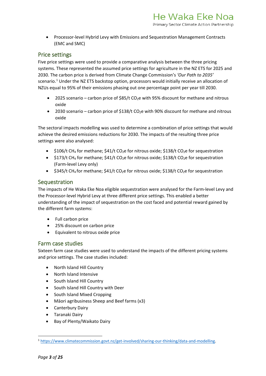• Processor-level Hybrid Levy with Emissions and Sequestration Management Contracts (EMC and SMC)

#### <span id="page-3-0"></span>Price settings

Five price settings were used to provide a comparative analysis between the three pricing systems. These represented the assumed price settings for agriculture in the NZ ETS for 2025 and 2030. The carbon price is derived from Climate Change Commission's *'Our Path to 2035'* scenario.<sup>[1](#page-3-3)</sup> Under the NZ ETS backstop option, processors would initially receive an allocation of NZUs equal to 95% of their emissions phasing out one percentage point per year till 2030.

- 2025 scenario carbon price of  $$85/t$  CO<sub>2</sub>e with 95% discount for methane and nitrous oxide
- 2030 scenario carbon price of \$138/t CO<sub>2</sub>e with 90% discount for methane and nitrous oxide

The sectoral impacts modelling was used to determine a combination of price settings that would achieve the desired emissions reductions for 2030. The impacts of the resulting three price settings were also analysed:

- \$106/t CH<sub>4</sub> for methane; \$41/t CO<sub>2</sub>e for nitrous oxide; \$138/t CO<sub>2</sub>e for sequestration
- \$173/t CH<sub>4</sub> for methane; \$41/t CO<sub>2</sub>e for nitrous oxide; \$138/t CO<sub>2</sub>e for sequestration (Farm-level Levy only)
- $$345/t$  CH<sub>4</sub> for methane; \$41/t CO<sub>2</sub>e for nitrous oxide; \$138/t CO<sub>2</sub>e for sequestration

#### <span id="page-3-1"></span>**Sequestration**

The impacts of He Waka Eke Noa eligible sequestration were analysed for the Farm-level Levy and the Processor-level Hybrid Levy at three different price settings. This enabled a better understanding of the impact of sequestration on the cost faced and potential reward gained by the different farm systems:

- Full carbon price
- 25% discount on carbon price
- Equivalent to nitrous oxide price

#### <span id="page-3-2"></span>Farm case studies

Sixteen farm case studies were used to understand the impacts of the different pricing systems and price settings. The case studies included:

- North Island Hill Country
- North Island Intensive
- South Island Hill Country
- South Island Hill Country with Deer
- South Island Mixed Cropping
- Māori agribusiness Sheep and Beef farms (x3)
- Canterbury Dairy
- Taranaki Dairy
- Bay of Plenty/Waikato Dairy

<span id="page-3-3"></span><sup>1</sup> [https://www.climatecommission.govt.nz/get-involved/sharing-our-thinking/data-and-modelling.](https://www.climatecommission.govt.nz/get-involved/sharing-our-thinking/data-and-modelling)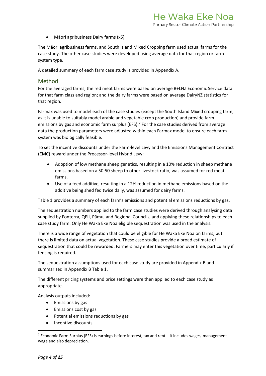• Māori agribusiness Dairy farms (x5)

The Māori agribusiness farms, and South Island Mixed Cropping farm used actual farms for the case study. The other case studies were developed using average data for that region or farm system type.

A detailed summary of each farm case study is provided in Appendix A.

#### <span id="page-4-0"></span>Method

For the averaged farms, the red meat farms were based on average B+LNZ Economic Service data for that farm class and region; and the dairy farms were based on average DairyNZ statistics for that region.

Farmax was used to model each of the case studies (except the South Island Mixed cropping farm, as it is unable to suitably model arable and vegetable crop production) and provide farm emissions by gas and economic farm surplus (EFS).<sup>[2](#page-4-1)</sup> For the case studies derived from average data the production parameters were adjusted within each Farmax model to ensure each farm system was biologically feasible.

To set the incentive discounts under the Farm-level Levy and the Emissions Management Contract (EMC) reward under the Processor-level Hybrid Levy:

- Adoption of low methane sheep genetics, resulting in a 10% reduction in sheep methane emissions based on a 50:50 sheep to other livestock ratio, was assumed for red meat farms.
- Use of a feed additive, resulting in a 12% reduction in methane emissions based on the additive being shed fed twice daily, was assumed for dairy farms.

Table 1 provides a summary of each farm's emissions and potential emissions reductions by gas.

The sequestration numbers applied to the farm case studies were derived through analysing data supplied by Fonterra, QEII, Pāmu, and Regional Councils, and applying these relationships to each case study farm. Only He Waka Eke Noa eligible sequestration was used in the analysis.

There is a wide range of vegetation that could be eligible for He Waka Eke Noa on farms, but there is limited data on actual vegetation. These case studies provide a broad estimate of sequestration that could be rewarded. Farmers may enter this vegetation over time, particularly if fencing is required.

The sequestration assumptions used for each case study are provided in Appendix B and summarised in Appendix B Table 1.

The different pricing systems and price settings were then applied to each case study as appropriate.

Analysis outputs included:

- Emissions by gas
- Emissions cost by gas
- Potential emissions reductions by gas
- Incentive discounts

<span id="page-4-1"></span> $2$  Economic Farm Surplus (EFS) is earnings before interest, tax and rent – it includes wages, management wage and also depreciation.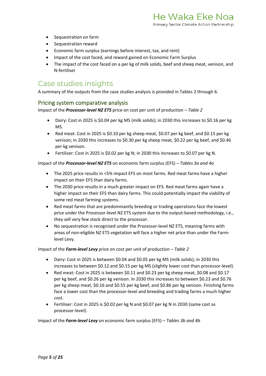- Sequestration on farm
- Sequestration reward
- Economic farm surplus (earnings before interest, tax, and rent)
- Impact of the cost faced, and reward gained on Economic Farm Surplus
- The impact of the cost faced on a per kg of milk solids, beef and sheep meat, venison, and N-fertiliser

### <span id="page-5-0"></span>Case studies insights

A summary of the outputs from the case studies analysis is provided in Tables 2 through 6.

#### <span id="page-5-1"></span>Pricing system comparative analysis

Impact of the *Processor-level NZ ETS* price on cost per unit of production – *Table 2*

- Dairy: Cost in 2025 is \$0.04 per kg MS (milk solids); in 2030 this increases to \$0.16 per kg MS.
- Red meat: Cost in 2025 is \$0.10 per kg sheep meat, \$0.07 per kg beef, and \$0.15 per kg venison; in 2030 this increases to \$0.30 per kg sheep meat, \$0.22 per kg beef, and \$0.46 per kg venison.
- Fertiliser: Cost in 2025 is \$0.02 per kg N; in 2030 this increases to \$0.07 per kg N.

Impact of the *Processor-level NZ ETS* on economic farm surplus (EFS) – *Tables 3a and 4a*

- The 2025 price results in <5% impact EFS on most farms. Red meat farms have a higher impact on their EFS than dairy farms.
- The 2030 price results in a much greater impact on EFS. Red meat farms again have a higher impact on their EFS than dairy farms. This could potentially impact the viability of some red meat farming systems.
- Red meat farms that are predominantly breeding or trading operations face the lowest price under the Processor-level NZ ETS system due to the output-based methodology, i.e., they sell very few stock direct to the processor.
- No sequestration is recognised under the Processor-level NZ ETS, meaning farms with areas of non-eligible NZ ETS vegetation will face a higher net price than under the Farmlevel Levy.

Impact of the *Farm-level Levy* price on cost per unit of production – *Table 2*

- Dairy: Cost in 2025 is between \$0.04 and \$0.05 per kg MS (milk solids); in 2030 this increases to between \$0.12 and \$0.15 per kg MS (slightly lower cost than processor-level).
- Red meat: Cost in 2025 is between \$0.11 and \$0.23 per kg sheep meat, \$0.08 and \$0.17 per kg beef, and \$0.26 per kg venison. In 2030 this increases to between \$0.23 and \$0.76 per kg sheep meat, \$0.16 and \$0.55 per kg beef, and \$0.86 per kg venison. Finishing farms face a lower cost than the processor-level and breeding and trading farms a much higher cost.
- Fertiliser: Cost in 2025 is \$0.02 per kg N and \$0.07 per kg N in 2030 (same cost as processor-level).

Impact of the *Farm-level Levy* on economic farm surplus (EFS) – *Tables 3b and 4b*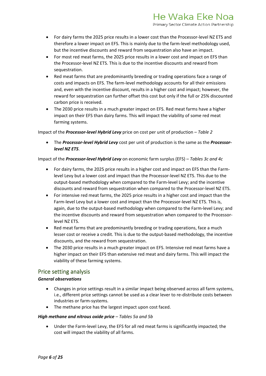- For dairy farms the 2025 price results in a lower cost than the Processor-level NZ ETS and therefore a lower impact on EFS. This is mainly due to the farm-level methodology used, but the incentive discounts and reward from sequestration also have an impact.
- For most red meat farms, the 2025 price results in a lower cost and impact on EFS than the Processor-level NZ ETS. This is due to the incentive discounts and reward from sequestration.
- Red meat farms that are predominantly breeding or trading operations face a range of costs and impacts on EFS. The farm-level methodology accounts for all their emissions and, even with the incentive discount, results in a higher cost and impact; however, the reward for sequestration can further offset this cost but only if the full or 25% discounted carbon price is received.
- The 2030 price results in a much greater impact on EFS. Red meat farms have a higher impact on their EFS than dairy farms. This will impact the viability of some red meat farming systems.

#### Impact of the *Processor-level Hybrid Levy* price on cost per unit of production – *Table 2*

• The *Processor-level Hybrid Levy* cost per unit of production is the same as the *Processorlevel NZ ETS*.

#### Impact of the *Processor-level Hybrid Levy* on economic farm surplus (EFS) – *Tables 3c and 4c*

- For dairy farms, the 2025 price results in a higher cost and impact on EFS than the Farmlevel Levy but a lower cost and impact than the Processor-level NZ ETS. This due to the output-based methodology when compared to the Farm-level Levy; and the incentive discounts and reward from sequestration when compared to the Processor-level NZ ETS.
- For intensive red meat farms, the 2025 price results in a higher cost and impact than the Farm-level Levy but a lower cost and impact than the Processor-level NZ ETS. This is, again, due to the output-based methodology when compared to the Farm-level Levy; and the incentive discounts and reward from sequestration when compared to the Processorlevel NZ ETS.
- Red meat farms that are predominantly breeding or trading operations, face a much lesser cost or receive a credit. This is due to the output-based methodology, the incentive discounts, and the reward from sequestration.
- The 2030 price results in a much greater impact on EFS. Intensive red meat farms have a higher impact on their EFS than extensive red meat and dairy farms. This will impact the viability of these farming systems.

#### <span id="page-6-0"></span>Price setting analysis

#### *General observations*

- Changes in price settings result in a similar impact being observed across all farm systems, i.e., different price settings cannot be used as a clear lever to re-distribute costs between industries or farm-systems.
- The methane price has the largest impact upon cost faced.

#### *High methane and nitrous oxide price – Tables 5a and 5b*

• Under the Farm-level Levy, the EFS for all red meat farms is significantly impacted; the cost will impact the viability of all farms.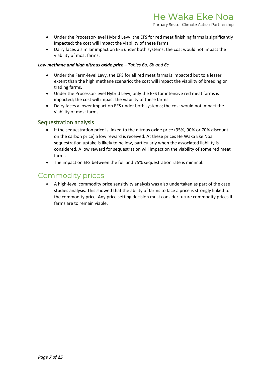- Under the Processor-level Hybrid Levy, the EFS for red meat finishing farms is significantly impacted; the cost will impact the viability of these farms.
- Dairy faces a similar impact on EFS under both systems; the cost would not impact the viability of most farms.

#### *Low methane and high nitrous oxide price – Tables 6a, 6b and 6c*

- Under the Farm-level Levy, the EFS for all red meat farms is impacted but to a lesser extent than the high methane scenario; the cost will impact the viability of breeding or trading farms.
- Under the Processor-level Hybrid Levy, only the EFS for intensive red meat farms is impacted; the cost will impact the viability of these farms.
- Dairy faces a lower impact on EFS under both systems; the cost would not impact the viability of most farms.

#### <span id="page-7-0"></span>Sequestration analysis

- If the sequestration price is linked to the nitrous oxide price (95%, 90% or 70% discount on the carbon price) a low reward is received. At these prices He Waka Eke Noa sequestration uptake is likely to be low, particularly when the associated liability is considered. A low reward for sequestration will impact on the viability of some red meat farms.
- The impact on EFS between the full and 75% sequestration rate is minimal.

### <span id="page-7-1"></span>Commodity prices

• A high-level commodity price sensitivity analysis was also undertaken as part of the case studies analysis. This showed that the ability of farms to face a price is strongly linked to the commodity price. Any price setting decision must consider future commodity prices if farms are to remain viable.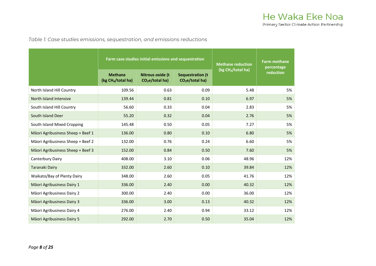*Table 1: Case studies emissions, sequestration, and emissions reductions*

<span id="page-8-0"></span>

|                                   |                                                  | Farm case studies initial emissions and sequestration  | <b>Methane reduction</b><br>(kg CH <sub>4</sub> /total ha) | <b>Farm methane</b><br>percentage |           |
|-----------------------------------|--------------------------------------------------|--------------------------------------------------------|------------------------------------------------------------|-----------------------------------|-----------|
|                                   | <b>Methane</b><br>(kg CH <sub>4</sub> /total ha) | <b>Nitrous oxide (t</b><br>CO <sub>2</sub> e/total ha) | <b>Sequestration (t</b><br>CO <sub>2</sub> e/total ha)     |                                   | reduction |
| North Island Hill Country         | 109.56                                           | 0.63                                                   | 0.09                                                       | 5.48                              | 5%        |
| North Island Intensive            | 139.44                                           | 0.81                                                   | 0.10                                                       | 6.97                              | 5%        |
| South Island Hill Country         | 56.60                                            | 0.33                                                   | 0.04                                                       | 2.83                              | 5%        |
| South Island Deer                 | 55.20                                            | 0.32                                                   | 0.04                                                       | 2.76                              | 5%        |
| South Island Mixed Cropping       | 145.48                                           | 0.50                                                   | 0.05                                                       | 7.27                              | 5%        |
| Māori Agribusiness Sheep + Beef 1 | 136.00                                           | 0.80                                                   | 0.10                                                       | 6.80                              | 5%        |
| Māori Agribusiness Sheep + Beef 2 | 132.00                                           | 0.76                                                   | 0.24                                                       | 6.60                              | 5%        |
| Māori Agribusiness Sheep + Beef 3 | 152.00                                           | 0.84                                                   | 0.50                                                       | 7.60                              | 5%        |
| Canterbury Dairy                  | 408.00                                           | 3.10                                                   | 0.06                                                       | 48.96                             | 12%       |
| <b>Taranaki Dairy</b>             | 332.00                                           | 2.60                                                   | 0.10                                                       | 39.84                             | 12%       |
| Waikato/Bay of Plenty Dairy       | 348.00                                           | 2.60                                                   | 0.05                                                       | 41.76                             | 12%       |
| Māori Agribusiness Dairy 1        | 336.00                                           | 2.40                                                   | 0.00                                                       | 40.32                             | 12%       |
| Māori Agribusiness Dairy 2        | 300.00                                           | 2.40                                                   | 0.00                                                       | 36.00                             | 12%       |
| Māori Agribusiness Dairy 3        | 336.00                                           | 3.00                                                   | 0.13                                                       | 40.32                             | 12%       |
| Māori Agribusiness Dairy 4        | 276.00                                           | 2.40                                                   | 0.94                                                       | 33.12                             | 12%       |
| Māori Agribusiness Dairy 5        | 292.00                                           | 2.70                                                   | 0.50                                                       | 35.04                             | 12%       |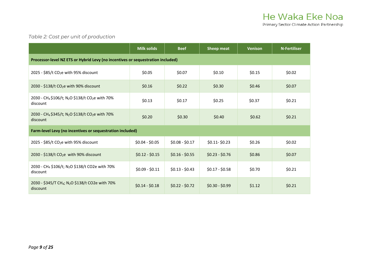#### *Table 2: Cost per unit of production*

<span id="page-9-0"></span>

|                                                                                                 | <b>Milk solids</b> | <b>Beef</b>      | <b>Sheep meat</b> | <b>Venison</b> | <b>N-Fertiliser</b> |  |  |  |  |  |  |
|-------------------------------------------------------------------------------------------------|--------------------|------------------|-------------------|----------------|---------------------|--|--|--|--|--|--|
| Processor-level NZ ETS or Hybrid Levy (no incentives or sequestration included)                 |                    |                  |                   |                |                     |  |  |  |  |  |  |
| 2025 - \$85/t CO <sub>2</sub> e with 95% discount                                               | \$0.05             | \$0.07           | \$0.10            | \$0.15         | \$0.02              |  |  |  |  |  |  |
| 2030 - \$138/t CO <sub>2</sub> e with 90% discount                                              | \$0.16             | \$0.22           | \$0.30            | \$0.46         | \$0.07              |  |  |  |  |  |  |
| 2030 - CH <sub>4</sub> \$106/t; N <sub>2</sub> O \$138/t CO <sub>2</sub> e with 70%<br>discount | \$0.13             | \$0.17           | \$0.25            | \$0.37         | \$0.21              |  |  |  |  |  |  |
| 2030 - CH4 \$345/t; N <sub>2</sub> O \$138/t CO <sub>2</sub> e with 70%<br>discount             | \$0.20             | \$0.30           | \$0.40            | \$0.62         | \$0.21              |  |  |  |  |  |  |
| Farm-level Levy (no incentives or sequestration included)                                       |                    |                  |                   |                |                     |  |  |  |  |  |  |
| 2025 - \$85/t CO <sub>2</sub> e with 95% discount                                               | $$0.04 - $0.05$    | $$0.08 - $0.17$  | $$0.11 - $0.23$$  | \$0.26         | \$0.02              |  |  |  |  |  |  |
| 2030 - \$138/t CO <sub>2</sub> e with 90% discount                                              | $$0.12 - $0.15$    | $$0.16 - $0.55$  | $$0.23 - $0.76$   | \$0.86         | \$0.07              |  |  |  |  |  |  |
| 2030 - CH <sub>4</sub> \$106/t; N <sub>2</sub> O \$138/t CO2e with 70%<br>discount              | $$0.09 - $0.11$    | $$0.13 - $0.43$  | $$0.17 - $0.58$$  | \$0.70         | \$0.21              |  |  |  |  |  |  |
| 2030 - \$345/T CH <sub>4</sub> ; N <sub>2</sub> O \$138/t CO2e with 70%<br>discount             | $$0.14 - $0.18$    | $$0.22 - $0.72$$ | $$0.30 - $0.99$   | \$1.12         | \$0.21              |  |  |  |  |  |  |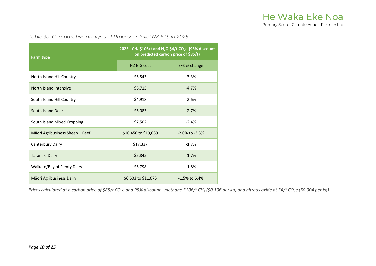Primary Sector Climate Action Partnership

*Table 3a: Comparative analysis of Processor-level NZ ETS in 2025*

| <b>Farm type</b>                | 2025 - CH <sub>4</sub> \$106/t and N <sub>2</sub> O \$4/t CO <sub>2</sub> e (95% discount<br>on predicted carbon price of \$85/t) |                      |  |  |  |
|---------------------------------|-----------------------------------------------------------------------------------------------------------------------------------|----------------------|--|--|--|
|                                 | NZ ETS cost                                                                                                                       | EFS % change         |  |  |  |
| North Island Hill Country       | \$6,543                                                                                                                           | $-3.3%$              |  |  |  |
| North Island Intensive          | \$6,715                                                                                                                           | $-4.7%$              |  |  |  |
| South Island Hill Country       | \$4,918                                                                                                                           | $-2.6%$              |  |  |  |
| South Island Deer               | \$6,083                                                                                                                           | $-2.7%$              |  |  |  |
| South Island Mixed Cropping     | \$7,502                                                                                                                           | $-2.4%$              |  |  |  |
| Māori Agribusiness Sheep + Beef | \$10,450 to \$19,089                                                                                                              | $-2.0\%$ to $-3.3\%$ |  |  |  |
| Canterbury Dairy                | \$17,337                                                                                                                          | $-1.7%$              |  |  |  |
| Taranaki Dairy                  | \$5,845                                                                                                                           | $-1.7%$              |  |  |  |
| Waikato/Bay of Plenty Dairy     | \$6,798                                                                                                                           | $-1.8%$              |  |  |  |
| Māori Agribusiness Dairy        | \$6,603 to \$11,075                                                                                                               | $-1.5\%$ to 6.4%     |  |  |  |

<span id="page-10-0"></span>*Prices calculated at a carbon price of \$85/t CO2e and 95% discount - methane \$106/t CH4 (\$0.106 per kg) and nitrous oxide at \$4/t CO2e (\$0.004 per kg)*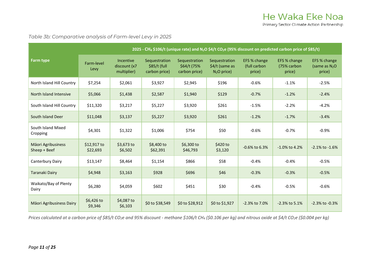*Table 3b: Comparative analysis of Farm-level Levy in 2025*

|                                    | 2025 - CH <sub>4</sub> \$106/t (unique rate) and N <sub>2</sub> O \$4/t CO <sub>2</sub> e (95% discount on predicted carbon price of \$85/t) |                                          |                                                 |                                               |                                                 |                                        |                                       |                                           |  |  |  |
|------------------------------------|----------------------------------------------------------------------------------------------------------------------------------------------|------------------------------------------|-------------------------------------------------|-----------------------------------------------|-------------------------------------------------|----------------------------------------|---------------------------------------|-------------------------------------------|--|--|--|
| <b>Farm type</b>                   | Farm-level<br>Levy                                                                                                                           | Incentive<br>discount (x7<br>multiplier) | Sequestration<br>$$85/t$ (full<br>carbon price) | Sequestration<br>\$64/t (75%<br>carbon price) | Sequestration<br>\$4/t (same as<br>$N2O$ price) | EFS % change<br>(full carbon<br>price) | EFS % change<br>(75% carbon<br>price) | EFS % change<br>(same as $N_2O$<br>price) |  |  |  |
| North Island Hill Country          | \$7,254                                                                                                                                      | \$2,061                                  | \$3,927                                         | \$2,945                                       | \$196                                           | $-0.6%$                                | $-1.1%$                               | $-2.5%$                                   |  |  |  |
| North Island Intensive             | \$5,066                                                                                                                                      | \$1,438                                  | \$2,587                                         | \$1,940                                       | \$129                                           | $-0.7%$                                | $-1.2%$                               | $-2.4%$                                   |  |  |  |
| South Island Hill Country          | \$11,320                                                                                                                                     | \$3,217                                  | \$5,227                                         | \$3,920                                       | \$261                                           | $-1.5%$                                | $-2.2%$                               | $-4.2%$                                   |  |  |  |
| South Island Deer                  | \$11,048                                                                                                                                     | \$3,137                                  | \$5,227                                         | \$3,920                                       | \$261                                           | $-1.2%$                                | $-1.7%$                               | $-3.4%$                                   |  |  |  |
| South Island Mixed<br>Cropping     | \$4,301                                                                                                                                      | \$1,322                                  | \$1,006                                         | \$754                                         | \$50                                            | $-0.6%$                                | $-0.7%$                               | $-0.9%$                                   |  |  |  |
| Māori Agribusiness<br>Sheep + Beef | \$12,917 to<br>\$22,693                                                                                                                      | \$3,673 to<br>\$6,502                    | \$8,400 to<br>\$62,391                          | \$6,300 to<br>\$46,793                        | \$420 to<br>\$3,120                             | $-0.6\%$ to 6.3%                       | $-1.0\%$ to 4.2%                      | $-2.1\%$ to $-1.6\%$                      |  |  |  |
| Canterbury Dairy                   | \$13,147                                                                                                                                     | \$8,464                                  | \$1,154                                         | \$866                                         | \$58                                            | $-0.4%$                                | $-0.4%$                               | $-0.5%$                                   |  |  |  |
| <b>Taranaki Dairy</b>              | \$4,948                                                                                                                                      | \$3,163                                  | \$928                                           | \$696                                         | \$46                                            | $-0.3%$                                | $-0.3%$                               | $-0.5%$                                   |  |  |  |
| Waikato/Bay of Plenty<br>Dairy     | \$6,280                                                                                                                                      | \$4,059                                  | \$602                                           | \$451                                         | \$30                                            | $-0.4%$                                | $-0.5%$                               | $-0.6%$                                   |  |  |  |
| Māori Agribusiness Dairy           | \$6,426 to<br>\$9,346                                                                                                                        | \$4,087 to<br>\$6,103                    | \$0 to \$38,549                                 | \$0 to \$28,912                               | \$0 to \$1,927                                  | $-2.3\%$ to 7.0%                       | $-2.3\%$ to 5.1%                      | $-2.3\%$ to $-0.3\%$                      |  |  |  |

<span id="page-11-0"></span>*Prices calculated at a carbon price of \$85/t CO2e and 95% discount - methane \$106/t CH4 (\$0.106 per kg) and nitrous oxide at \$4/t CO2e (\$0.004 per kg)*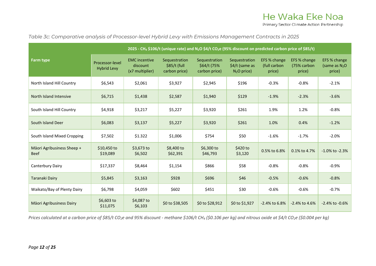*Table 3c: Comparative analysis of Processor-level Hybrid Levy with Emissions Management Contracts in 2025*

|                                           | 2025 - CH <sub>4</sub> \$106/t (unique rate) and N <sub>2</sub> O \$4/t CO <sub>2</sub> e (95% discount on predicted carbon price of \$85/t) |                                                     |                                                |                                               |                                                  |                                        |                                       |                                           |  |  |
|-------------------------------------------|----------------------------------------------------------------------------------------------------------------------------------------------|-----------------------------------------------------|------------------------------------------------|-----------------------------------------------|--------------------------------------------------|----------------------------------------|---------------------------------------|-------------------------------------------|--|--|
| Farm type                                 | Processor-level<br><b>Hybrid Levy</b>                                                                                                        | <b>EMC</b> incentive<br>discount<br>(x7 multiplier) | Sequestration<br>\$85/t (full<br>carbon price) | Sequestration<br>\$64/t (75%<br>carbon price) | Sequestration<br>\$4/t (same as<br>$N_2O$ price) | EFS % change<br>(full carbon<br>price) | EFS % change<br>(75% carbon<br>price) | EFS % change<br>(same as $N_2O$<br>price) |  |  |
| North Island Hill Country                 | \$6,543                                                                                                                                      | \$2,061                                             | \$3,927                                        | \$2,945                                       | \$196                                            | $-0.3%$                                | $-0.8%$                               | $-2.1%$                                   |  |  |
| North Island Intensive                    | \$6,715                                                                                                                                      | \$1,438                                             | \$2,587                                        | \$1,940                                       | \$129                                            | $-1.9%$                                | $-2.3%$                               | $-3.6%$                                   |  |  |
| South Island Hill Country                 | \$4,918                                                                                                                                      | \$3,217                                             | \$5,227                                        | \$3,920                                       | \$261                                            | 1.9%                                   | 1.2%                                  | $-0.8%$                                   |  |  |
| South Island Deer                         | \$6,083                                                                                                                                      | \$3,137                                             | \$5,227                                        | \$3,920                                       | \$261                                            | 1.0%                                   | 0.4%                                  | $-1.2%$                                   |  |  |
| South Island Mixed Cropping               | \$7,502                                                                                                                                      | \$1.322                                             | \$1,006                                        | \$754                                         | \$50                                             | $-1.6%$                                | $-1.7%$                               | $-2.0%$                                   |  |  |
| Māori Agribusiness Sheep +<br><b>Beef</b> | \$10,450 to<br>\$19,089                                                                                                                      | \$3,673 to<br>\$6,502                               | \$8,400 to<br>\$62,391                         | \$6,300 to<br>\$46,793                        | \$420 to<br>\$3,120                              | 0.5% to 6.8%                           | 0.1% to 4.7%                          | $-1.0\%$ to $-2.3\%$                      |  |  |
| Canterbury Dairy                          | \$17,337                                                                                                                                     | \$8,464                                             | \$1,154                                        | \$866                                         | \$58                                             | $-0.8%$                                | $-0.8%$                               | $-0.9%$                                   |  |  |
| <b>Taranaki Dairy</b>                     | \$5,845                                                                                                                                      | \$3,163                                             | \$928                                          | \$696                                         | \$46                                             | $-0.5%$                                | $-0.6%$                               | $-0.8%$                                   |  |  |
| Waikato/Bay of Plenty Dairy               | \$6,798                                                                                                                                      | \$4,059                                             | \$602                                          | \$451                                         | \$30                                             | $-0.6%$                                | $-0.6%$                               | $-0.7%$                                   |  |  |
| Māori Agribusiness Dairy                  | \$6,603 to<br>\$11,075                                                                                                                       | \$4,087 to<br>\$6,103                               | \$0 to \$38,505                                | \$0 to \$28,912                               | \$0 to \$1,927                                   | $-2.4\%$ to 6.8%                       | $-2.4\%$ to $4.6\%$                   | -2.4% to -0.6%                            |  |  |

<span id="page-12-0"></span>*Prices calculated at a carbon price of \$85/t CO2e and 95% discount - methane \$106/t CH4 (\$0.106 per kg) and nitrous oxide at \$4/t CO2e (\$0.004 per kg)*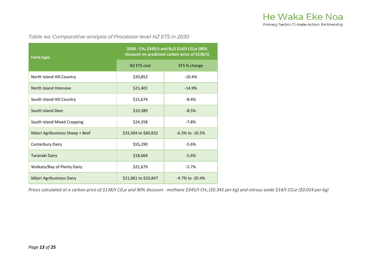Primary Sector Climate Action Partnership

*Table 4a: Comparative analysis of Processor-level NZ ETS in 2030*

| <b>Farm type</b>                | 2030 - CH4 \$345/t and N <sub>2</sub> O \$14/t CO <sub>2</sub> e (90%<br>discount on predicted carbon price of \$138/t) |                       |  |  |  |
|---------------------------------|-------------------------------------------------------------------------------------------------------------------------|-----------------------|--|--|--|
|                                 | <b>NZ ETS cost</b>                                                                                                      | EFS % change          |  |  |  |
| North Island Hill Country       | \$20,852                                                                                                                | $-10.4%$              |  |  |  |
| North Island Intensive          | \$21,401                                                                                                                | $-14.9%$              |  |  |  |
| South Island Hill Country       | \$15,674                                                                                                                | $-8.4%$               |  |  |  |
| South Island Deer               | \$19,389                                                                                                                | $-8.5%$               |  |  |  |
| South Island Mixed Cropping     | \$24,358                                                                                                                | $-7.8%$               |  |  |  |
| Māori Agribusiness Sheep + Beef | \$33,304 to \$60,832                                                                                                    | $-6.3\%$ to $-10.5\%$ |  |  |  |
| Canterbury Dairy                | \$55,290                                                                                                                | $-5.6%$               |  |  |  |
| Taranaki Dairy                  | \$18,664                                                                                                                | $-5.6%$               |  |  |  |
| Waikato/Bay of Plenty Dairy     | \$21,679                                                                                                                | $-5.7%$               |  |  |  |
| Māori Agribusiness Dairy        | \$21,061 to \$33,847                                                                                                    | $-4.7\%$ to $-20.4\%$ |  |  |  |

<span id="page-13-1"></span><span id="page-13-0"></span>*Prices calculated at a carbon price of \$138/t CO2e and 90% discount - methane \$345/t CH4 (\$0.345 per kg) and nitrous oxide \$14/t CO2e (\$0.014 per kg)*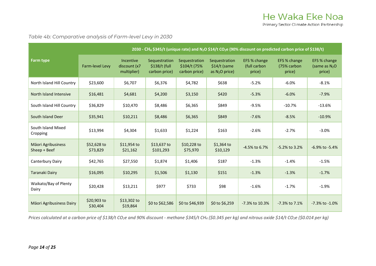*Table 4b: Comparative analysis of Farm-level Levy in 2030*

|                                    | 2030 - CH <sub>4</sub> \$345/t (unique rate) and N <sub>2</sub> O \$14/t CO <sub>2</sub> e (90% discount on predicted carbon price of \$138/t) |                                          |                                                 |                                                 |                                                    |                                        |                                       |                                           |  |  |
|------------------------------------|------------------------------------------------------------------------------------------------------------------------------------------------|------------------------------------------|-------------------------------------------------|-------------------------------------------------|----------------------------------------------------|----------------------------------------|---------------------------------------|-------------------------------------------|--|--|
| <b>Farm type</b>                   | Farm-level Levy                                                                                                                                | Incentive<br>discount (x7<br>multiplier) | Sequestration<br>\$138/t (full<br>carbon price) | Sequestration<br>\$104/t (75%)<br>carbon price) | Sequestration<br>$$14/t$ (same<br>as $N_2O$ price) | EFS % change<br>(full carbon<br>price) | EFS % change<br>(75% carbon<br>price) | EFS % change<br>(same as $N_2O$<br>price) |  |  |
| North Island Hill Country          | \$23,600                                                                                                                                       | \$6,707                                  | \$6,376                                         | \$4,782                                         | \$638                                              | $-5.2%$                                | $-6.0%$                               | $-8.1%$                                   |  |  |
| North Island Intensive             | \$16,481                                                                                                                                       | \$4,681                                  | \$4,200                                         | \$3,150                                         | \$420                                              | $-5.3%$                                | $-6.0%$                               | $-7.9%$                                   |  |  |
| South Island Hill Country          | \$36,829                                                                                                                                       | \$10,470                                 | \$8,486                                         | \$6,365                                         | \$849                                              | $-9.5%$                                | $-10.7%$                              | $-13.6%$                                  |  |  |
| South Island Deer                  | \$35,941                                                                                                                                       | \$10,211                                 | \$8,486                                         | \$6,365                                         | \$849                                              | $-7.6%$                                | $-8.5%$                               | $-10.9%$                                  |  |  |
| South Island Mixed<br>Cropping     | \$13,994                                                                                                                                       | \$4,304                                  | \$1,633                                         | \$1,224                                         | \$163                                              | $-2.6%$                                | $-2.7%$                               | $-3.0%$                                   |  |  |
| Māori Agribusiness<br>Sheep + Beef | \$52,628 to<br>\$73,829                                                                                                                        | \$11,954 to<br>\$21,162                  | \$13,637 to<br>\$101,293                        | \$10,228 to<br>\$75,970                         | \$1,364 to<br>\$10,129                             | -4.5% to 6.7%                          | $-5.2\%$ to 3.2%                      | $-6.9\%$ to $-5.4\%$                      |  |  |
| Canterbury Dairy                   | \$42,765                                                                                                                                       | \$27,550                                 | \$1,874                                         | \$1,406                                         | \$187                                              | $-1.3%$                                | $-1.4%$                               | $-1.5%$                                   |  |  |
| Taranaki Dairy                     | \$16,095                                                                                                                                       | \$10,295                                 | \$1,506                                         | \$1,130                                         | \$151                                              | $-1.3%$                                | $-1.3%$                               | $-1.7%$                                   |  |  |
| Waikato/Bay of Plenty<br>Dairy     | \$20,428                                                                                                                                       | \$13,211                                 | \$977                                           | \$733                                           | \$98                                               | $-1.6%$                                | $-1.7%$                               | $-1.9%$                                   |  |  |
| Māori Agribusiness Dairy           | \$20,903 to<br>\$30,404                                                                                                                        | \$13,302 to<br>\$19,864                  | \$0 to \$62,586                                 | \$0 to \$46,939                                 | \$0 to \$6,259                                     | -7.3% to 10.3%                         | $-7.3\%$ to $7.1\%$                   | $-7.3\%$ to $-1.0\%$                      |  |  |

*Prices calculated at a carbon price of \$138/t CO2e and 90% discount - methane \$345/t CH4 (\$0.345 per kg) and nitrous oxide \$14/t CO2e (\$0.014 per kg)*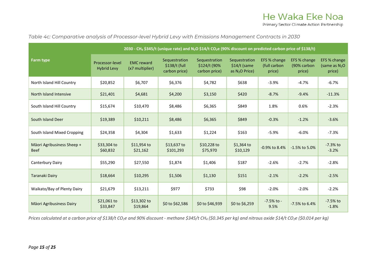*Table 4c: Comparative analysis of Processor-level Hybrid Levy with Emissions Management Contracts in 2030*

|                                           | 2030 - CH4 \$345/t (unique rate) and N <sub>2</sub> O \$14/t CO <sub>2</sub> e (90% discount on predicted carbon price of \$138/t) |                                      |                                                 |                                                |                                                   |                                        |                                       |                                           |  |  |
|-------------------------------------------|------------------------------------------------------------------------------------------------------------------------------------|--------------------------------------|-------------------------------------------------|------------------------------------------------|---------------------------------------------------|----------------------------------------|---------------------------------------|-------------------------------------------|--|--|
| <b>Farm type</b>                          | Processor-level<br><b>Hybrid Levy</b>                                                                                              | <b>EMC</b> reward<br>(x7 multiplier) | Sequestration<br>\$138/t (full<br>carbon price) | Sequestration<br>\$124/t (90%<br>carbon price) | Sequestration<br>$$14/t$ (same<br>as $N2O$ Price) | EFS % change<br>(full carbon<br>price) | EFS % change<br>(90% carbon<br>price) | EFS % change<br>(same as $N_2O$<br>price) |  |  |
| North Island Hill Country                 | \$20,852                                                                                                                           | \$6,707                              | \$6,376                                         | \$4,782                                        | \$638                                             | $-3.9%$                                | $-4.7%$                               | $-6.7%$                                   |  |  |
| North Island Intensive                    | \$21,401                                                                                                                           | \$4,681                              | \$4,200                                         | \$3,150                                        | \$420                                             | $-8.7%$                                | $-9.4%$                               | $-11.3%$                                  |  |  |
| South Island Hill Country                 | \$15,674                                                                                                                           | \$10,470                             | \$8,486                                         | \$6,365                                        | \$849                                             | 1.8%                                   | 0.6%                                  | $-2.3%$                                   |  |  |
| South Island Deer                         | \$19,389                                                                                                                           | \$10,211                             | \$8,486                                         | \$6,365                                        | \$849                                             | $-0.3%$                                | $-1.2%$                               | $-3.6%$                                   |  |  |
| South Island Mixed Cropping               | \$24,358                                                                                                                           | \$4,304                              | \$1,633                                         | \$1,224                                        | \$163                                             | $-5.9%$                                | $-6.0%$                               | $-7.3%$                                   |  |  |
| Māori Agribusiness Sheep +<br><b>Beef</b> | \$33,304 to<br>\$60,832                                                                                                            | \$11,954 to<br>\$21,162              | \$13,637 to<br>\$101,293                        | \$10,228 to<br>\$75,970                        | $$1,364$ to<br>\$10,129                           | -0.9% to 8.4%                          | $-1.5\%$ to 5.0%                      | $-7.3%$ to<br>$-3.2%$                     |  |  |
| Canterbury Dairy                          | \$55,290                                                                                                                           | \$27,550                             | \$1,874                                         | \$1,406                                        | \$187                                             | $-2.6%$                                | $-2.7%$                               | $-2.8%$                                   |  |  |
| <b>Taranaki Dairy</b>                     | \$18,664                                                                                                                           | \$10,295                             | \$1,506                                         | \$1,130                                        | \$151                                             | $-2.1%$                                | $-2.2%$                               | $-2.5%$                                   |  |  |
| Waikato/Bay of Plenty Dairy               | \$21,679                                                                                                                           | \$13,211                             | \$977                                           | \$733                                          | \$98                                              | $-2.0%$                                | $-2.0%$                               | $-2.2%$                                   |  |  |
| Māori Agribusiness Dairy                  | \$21,061 to<br>\$33,847                                                                                                            | \$13,302 to<br>\$19,864              | \$0 to \$62,586                                 | \$0 to \$46,939                                | \$0 to \$6,259                                    | $-7.5%$ to $-$<br>9.5%                 | -7.5% to 6.4%                         | $-7.5%$ to<br>$-1.8%$                     |  |  |

<span id="page-15-0"></span>*Prices calculated at a carbon price of \$138/t CO2e and 90% discount - methane \$345/t CH4 (\$0.345 per kg) and nitrous oxide \$14/t CO2e (\$0.014 per kg)*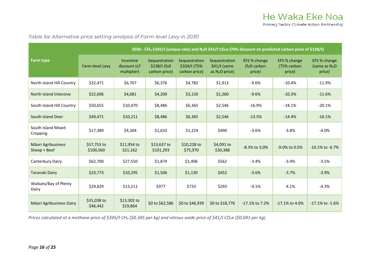*Table 5a: Alternative price setting analysis of Farm-level Levy in 2030*

|                                    | 2030 - CH <sub>4</sub> \$345/t (unique rate) and N <sub>2</sub> O \$41/t CO <sub>2</sub> e (70% discount on predicted carbon price of \$138/t) |                                          |                                                 |                                                 |                                                    |                                        |                                       |                                          |  |  |
|------------------------------------|------------------------------------------------------------------------------------------------------------------------------------------------|------------------------------------------|-------------------------------------------------|-------------------------------------------------|----------------------------------------------------|----------------------------------------|---------------------------------------|------------------------------------------|--|--|
| <b>Farm type</b>                   | Farm-level Levy                                                                                                                                | Incentive<br>discount (x7<br>multiplier) | Sequestration<br>\$138/t (full<br>carbon price) | Sequestration<br>\$104/t (75%)<br>carbon price) | Sequestration<br>$$41/t$ (same<br>as $N_2O$ price) | EFS % change<br>(full carbon<br>price) | EFS % change<br>(75% carbon<br>price) | EFS % change<br>(same as $N2O$<br>price) |  |  |
| North Island Hill Country          | \$32,471                                                                                                                                       | \$6,707                                  | \$6,376                                         | \$4,782                                         | \$1,913                                            | $-9.6%$                                | $-10.4%$                              | $-11.9%$                                 |  |  |
| North Island Intensive             | \$22,696                                                                                                                                       | \$4,681                                  | \$4,200                                         | \$3,150                                         | \$1,260                                            | $-9.6%$                                | $-10.3%$                              | $-11.6%$                                 |  |  |
| South Island Hill Country          | \$50,655                                                                                                                                       | \$10,470                                 | \$8,486                                         | \$6,365                                         | \$2,546                                            | $-16.9%$                               | $-18.1%$                              | $-20.1%$                                 |  |  |
| South Island Deer                  | \$49,471                                                                                                                                       | \$10,211                                 | \$8,486                                         | \$6,365                                         | \$2,546                                            | $-13.5%$                               | $-14.4%$                              | $-16.1%$                                 |  |  |
| South Island Mixed<br>Cropping     | \$17,389                                                                                                                                       | \$4,304                                  | \$1,633                                         | \$1,224                                         | \$490                                              | $-3.6%$                                | $-3.8%$                               | $-4.0%$                                  |  |  |
| Māori Agribusiness<br>Sheep + Beef | \$57,753 to<br>\$100,560                                                                                                                       | \$11,954 to<br>\$21,162                  | \$13,637 to<br>\$101,293                        | \$10,228 to<br>\$75,970                         | \$4,091 to<br>\$30,388                             | $-8.3\%$ to 3.0%                       | -9.0% to 0.5%                         | $-10.1\%$ to $-6.7\%$                    |  |  |
| Canterbury Dairy                   | \$62,700                                                                                                                                       | \$27,550                                 | \$1,874                                         | \$1,406                                         | \$562                                              | $-3.4%$                                | $-3.4%$                               | $-3.5%$                                  |  |  |
| <b>Taranaki Dairy</b>              | \$23,773                                                                                                                                       | \$10,295                                 | \$1,506                                         | \$1,130                                         | \$452                                              | $-3.6%$                                | $-3.7%$                               | $-3.9%$                                  |  |  |
| Waikato/Bay of Plenty<br>Dairy     | \$29,829                                                                                                                                       | \$13,211                                 | \$977                                           | \$733                                           | \$293                                              | $-4.1%$                                | $-4.1%$                               | $-4.3%$                                  |  |  |
| Māori Agribusiness Dairy           | \$31,038 to<br>\$46,442                                                                                                                        | \$13,302 to<br>\$19,864                  | \$0 to \$62,586                                 | \$0 to \$46,939                                 | \$0 to \$18,776                                    | -17.1% to 7.2%                         | -17.1% to 4.0%                        | $-17.1\%$ to $-1.6\%$                    |  |  |

<span id="page-16-0"></span>*Prices calculated at a methane price of \$345/t CH<sub>4</sub> (\$0.345 per kg) and nitrous oxide price of \$41/t CO<sub>2</sub>e (\$0.041 per kg)*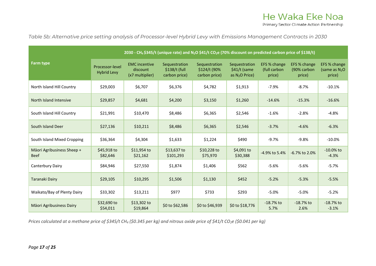*Table 5b: Alternative price setting analysis of Processor-level Hybrid Levy with Emissions Management Contracts in 2030*

|                                           | 2030 - CH <sub>4</sub> \$345/t (unique rate) and N <sub>2</sub> O \$41/t CO <sub>2</sub> e (70% discount on predicted carbon price of \$138/t) |                                                     |                                                  |                                                 |                                                    |                                        |                                       |                                           |  |  |
|-------------------------------------------|------------------------------------------------------------------------------------------------------------------------------------------------|-----------------------------------------------------|--------------------------------------------------|-------------------------------------------------|----------------------------------------------------|----------------------------------------|---------------------------------------|-------------------------------------------|--|--|
| <b>Farm type</b>                          | Processor-level<br><b>Hybrid Levy</b>                                                                                                          | <b>EMC</b> incentive<br>discount<br>(x7 multiplier) | Sequestration<br>$$138/t$ (full<br>carbon price) | Sequestration<br>\$124/t (90%)<br>carbon price) | Sequestration<br>$$41/t$ (same<br>as $N_2O$ Price) | EFS % change<br>(full carbon<br>price) | EFS % change<br>(90% carbon<br>price) | EFS % change<br>(same as $N_2O$<br>price) |  |  |
| North Island Hill Country                 | \$29,003                                                                                                                                       | \$6,707                                             | \$6,376                                          | \$4,782                                         | \$1,913                                            | $-7.9%$                                | $-8.7%$                               | $-10.1%$                                  |  |  |
| North Island Intensive                    | \$29,857                                                                                                                                       | \$4,681                                             | \$4,200                                          | \$3,150                                         | \$1,260                                            | $-14.6%$                               | $-15.3%$                              | $-16.6%$                                  |  |  |
| South Island Hill Country                 | \$21,991                                                                                                                                       | \$10,470                                            | \$8,486                                          | \$6,365                                         | \$2,546                                            | $-1.6%$                                | $-2.8%$                               | $-4.8%$                                   |  |  |
| South Island Deer                         | \$27,136                                                                                                                                       | \$10,211                                            | \$8,486                                          | \$6,365                                         | \$2,546                                            | $-3.7%$                                | $-4.6%$                               | $-6.3%$                                   |  |  |
| South Island Mixed Cropping               | \$36,364                                                                                                                                       | \$4,304                                             | \$1,633                                          | \$1,224                                         | \$490                                              | $-9.7%$                                | $-9.8%$                               | $-10.0%$                                  |  |  |
| Māori Agribusiness Sheep +<br><b>Beef</b> | \$45,918 to<br>\$82,646                                                                                                                        | $$11,954$ to<br>\$21,162                            | \$13,637 to<br>\$101,293                         | $$10,228$ to<br>\$75,970                        | \$4,091 to<br>\$30,388                             | -4.9% to 5.4%                          | $-6.7\%$ to 2.0%                      | $-10.0\%$ to<br>$-4.3%$                   |  |  |
| Canterbury Dairy                          | \$84,946                                                                                                                                       | \$27,550                                            | \$1,874                                          | \$1,406                                         | \$562                                              | $-5.6%$                                | $-5.6%$                               | $-5.7%$                                   |  |  |
| <b>Taranaki Dairy</b>                     | \$29,105                                                                                                                                       | \$10,295                                            | \$1,506                                          | \$1,130                                         | \$452                                              | $-5.2%$                                | $-5.3%$                               | $-5.5%$                                   |  |  |
| Waikato/Bay of Plenty Dairy               | \$33,302                                                                                                                                       | \$13,211                                            | \$977                                            | \$733                                           | \$293                                              | $-5.0%$                                | $-5.0%$                               | $-5.2%$                                   |  |  |
| Māori Agribusiness Dairy                  | \$32,690 to<br>\$54,011                                                                                                                        | \$13,302 to<br>\$19,864                             | \$0 to \$62,586                                  | \$0 to \$46,939                                 | \$0 to \$18,776                                    | $-18.7%$ to<br>5.7%                    | $-18.7%$ to<br>2.6%                   | $-18.7%$ to<br>$-3.1%$                    |  |  |

<span id="page-17-0"></span>*Prices calculated at a methane price of \$345/t CH<sub>4</sub> (\$0.345 per kg) and nitrous oxide price of \$41/t CO<sub>2</sub>e (\$0.041 per kg)*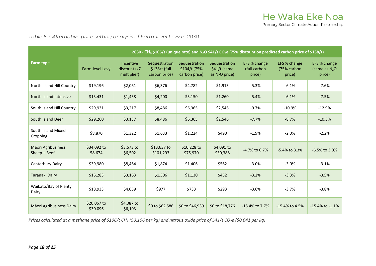*Table 6a: Alternative price setting analysis of Farm-level Levy in 2030*

|                                    | 2030 - CH <sub>4</sub> \$106/t (unique rate) and N <sub>2</sub> O \$41/t CO <sub>2</sub> e (75% discount on predicted carbon price of \$138/t) |                                                 |                                                 |                                                |                                                    |                                        |                                       |                                           |  |  |
|------------------------------------|------------------------------------------------------------------------------------------------------------------------------------------------|-------------------------------------------------|-------------------------------------------------|------------------------------------------------|----------------------------------------------------|----------------------------------------|---------------------------------------|-------------------------------------------|--|--|
| <b>Farm type</b>                   | <b>Farm-level Levy</b>                                                                                                                         | <b>Incentive</b><br>discount (x7<br>multiplier) | Sequestration<br>\$138/t (full<br>carbon price) | Sequestration<br>\$104/t (75%<br>carbon price) | Sequestration<br>$$41/t$ (same<br>as $N_2O$ price) | EFS % change<br>(full carbon<br>price) | EFS % change<br>(75% carbon<br>price) | EFS % change<br>(same as $N_2O$<br>price) |  |  |
| North Island Hill Country          | \$19,196                                                                                                                                       | \$2,061                                         | \$6,376                                         | \$4,782                                        | \$1,913                                            | $-5.3%$                                | $-6.1%$                               | $-7.6%$                                   |  |  |
| North Island Intensive             | \$13,431                                                                                                                                       | \$1,438                                         | \$4,200                                         | \$3,150                                        | \$1,260                                            | $-5.4%$                                | $-6.1%$                               | $-7.5%$                                   |  |  |
| South Island Hill Country          | \$29,931                                                                                                                                       | \$3,217                                         | \$8,486                                         | \$6,365                                        | \$2,546                                            | $-9.7%$                                | $-10.9%$                              | $-12.9%$                                  |  |  |
| South Island Deer                  | \$29,260                                                                                                                                       | \$3,137                                         | \$8,486                                         | \$6,365                                        | \$2,546                                            | $-7.7%$                                | $-8.7%$                               | $-10.3%$                                  |  |  |
| South Island Mixed<br>Cropping     | \$8,870                                                                                                                                        | \$1,322                                         | \$1,633                                         | \$1,224                                        | \$490                                              | $-1.9%$                                | $-2.0%$                               | $-2.2%$                                   |  |  |
| Māori Agribusiness<br>Sheep + Beef | \$34,092 to<br>58,674                                                                                                                          | \$3,673 to<br>\$6,502                           | \$13,637 to<br>\$101,293                        | \$10,228 to<br>\$75,970                        | \$4,091 to<br>\$30,388                             | -4.7% to 6.7%                          | $-5.4\%$ to 3.3%                      | $-6.5\%$ to 3.0%                          |  |  |
| Canterbury Dairy                   | \$39,980                                                                                                                                       | \$8,464                                         | \$1,874                                         | \$1,406                                        | \$562                                              | $-3.0%$                                | $-3.0%$                               | $-3.1%$                                   |  |  |
| <b>Taranaki Dairy</b>              | \$15,283                                                                                                                                       | \$3,163                                         | \$1,506                                         | \$1,130                                        | \$452                                              | $-3.2%$                                | $-3.3%$                               | $-3.5%$                                   |  |  |
| Waikato/Bay of Plenty<br>Dairy     | \$18,933                                                                                                                                       | \$4,059                                         | \$977                                           | \$733                                          | \$293                                              | $-3.6%$                                | $-3.7%$                               | $-3.8%$                                   |  |  |
| Māori Agribusiness Dairy           | \$20,067 to<br>\$30,096                                                                                                                        | \$4,087 to<br>\$6,103                           | \$0 to \$62,586                                 | \$0 to \$46,939                                | \$0 to \$18,776                                    | -15.4% to 7.7%                         | $-15.4\%$ to 4.5%                     | $-15.4\%$ to $-1.1\%$                     |  |  |

<span id="page-18-0"></span>*Prices calculated at a methane price of \$106/t CH4 (\$0.106 per kg) and nitrous oxide price of \$41/t CO2e (\$0.041 per kg)*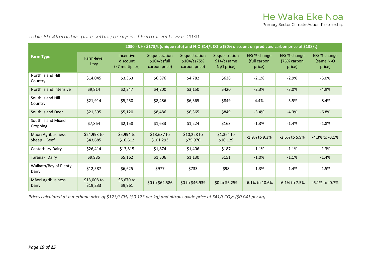*Table 6b: Alternative price setting analysis of Farm-level Levy in 2030*

|                                    |                         | 2030 - CH <sub>4</sub> \$173/t (unique rate) and N <sub>2</sub> O \$14/t CO <sub>2</sub> e (90% discount on predicted carbon price of \$138/t) |                                                  |                                                |                                                 |                                        |                                       |                                       |  |  |
|------------------------------------|-------------------------|------------------------------------------------------------------------------------------------------------------------------------------------|--------------------------------------------------|------------------------------------------------|-------------------------------------------------|----------------------------------------|---------------------------------------|---------------------------------------|--|--|
| <b>Farm Type</b>                   | Farm-level<br>Levy      | Incentive<br>discount<br>(x7 multiplier)                                                                                                       | Sequestration<br>$$104/t$ (full<br>carbon price) | Sequestration<br>\$104/t (75%<br>carbon price) | Sequestration<br>$$14/t$ (same<br>$N_2O$ price) | EFS % change<br>(full carbon<br>price) | EFS % change<br>(75% carbon<br>price) | EFS % change<br>(same $N2O$<br>price) |  |  |
| North Island Hill<br>Country       | \$14,045                | \$3,363                                                                                                                                        | \$6,376                                          | \$4,782                                        | \$638                                           | $-2.1%$                                | $-2.9%$                               | $-5.0%$                               |  |  |
| North Island Intensive             | \$9,814                 | \$2,347                                                                                                                                        | \$4,200                                          | \$3,150                                        | \$420                                           | $-2.3%$                                | $-3.0%$                               | $-4.9%$                               |  |  |
| South Island Hill<br>Country       | \$21,914                | \$5,250                                                                                                                                        | \$8,486                                          | \$6,365                                        | \$849                                           | 4.4%                                   | $-5.5%$                               | $-8.4%$                               |  |  |
| South Island Deer                  | \$21,395                | \$5,120                                                                                                                                        | \$8,486                                          | \$6,365                                        | \$849                                           | $-3.4%$                                | $-4.3%$                               | $-6.8%$                               |  |  |
| South Island Mixed<br>Cropping     | \$7,864                 | \$2,158                                                                                                                                        | \$1,633                                          | \$1,224                                        | \$163                                           | $-1.3%$                                | $-1.4%$                               | $-1.8%$                               |  |  |
| Māori Agribusiness<br>Sheep + Beef | \$24,993 to<br>\$43,685 | \$5,994 to<br>\$10,612                                                                                                                         | \$13,637 to<br>\$101,293                         | $$10,228$ to<br>\$75,970                       | $$1,364$ to<br>\$10,129                         | $-1.9\%$ to 9.3%                       | $-2.6\%$ to 5.9%                      | $-4.3\%$ to $-3.1\%$                  |  |  |
| Canterbury Dairy                   | \$26,414                | \$13,815                                                                                                                                       | \$1,874                                          | \$1,406                                        | \$187                                           | $-1.1%$                                | $-1.1%$                               | $-1.3%$                               |  |  |
| Taranaki Dairy                     | \$9,985                 | \$5,162                                                                                                                                        | \$1,506                                          | \$1,130                                        | \$151                                           | $-1.0%$                                | $-1.1%$                               | $-1.4%$                               |  |  |
| Waikato/Bay of Plenty<br>Dairy     | \$12,587                | \$6,625                                                                                                                                        | \$977                                            | \$733                                          | \$98                                            | $-1.3%$                                | $-1.4%$                               | $-1.5%$                               |  |  |
| Māori Agribusiness<br>Dairy        | \$13,008 to<br>\$19,233 | \$6,670 to<br>\$9,961                                                                                                                          | \$0 to \$62,586                                  | \$0 to \$46,939                                | \$0 to \$6,259                                  | $-6.1\%$ to $10.6\%$                   | $-6.1\%$ to 7.5%                      | $-6.1\%$ to $-0.7\%$                  |  |  |

<span id="page-19-0"></span>*Prices calculated at a methane price of \$173/t CH<sub>4</sub> (\$0.173 per kg) and nitrous oxide price of \$41/t CO<sub>2</sub>e (\$0.041 per kg)*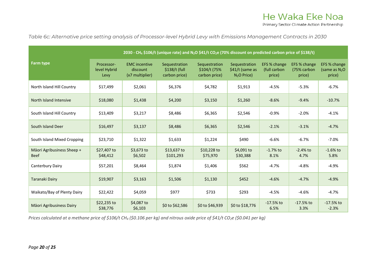*Table 6c: Alternative price setting analysis of Processor-level Hybrid Levy with Emissions Management Contracts in 2030*

|                                           | 2030 - CH <sub>4</sub> \$106/t (unique rate) and N <sub>2</sub> O \$41/t CO <sub>2</sub> e (70% discount on predicted carbon price of \$138/t) |                                                     |                                                 |                                                 |                                                  |                                        |                                       |                                           |  |  |
|-------------------------------------------|------------------------------------------------------------------------------------------------------------------------------------------------|-----------------------------------------------------|-------------------------------------------------|-------------------------------------------------|--------------------------------------------------|----------------------------------------|---------------------------------------|-------------------------------------------|--|--|
| <b>Farm type</b>                          | Processor-<br>level Hybrid<br>Levy                                                                                                             | <b>EMC</b> incentive<br>discount<br>(x7 multiplier) | Sequestration<br>\$138/t (full<br>carbon price) | Sequestration<br>\$104/t (75%)<br>carbon price) | Sequestration<br>\$41/t (same as<br>$N2O$ Price) | EFS % change<br>(full carbon<br>price) | EFS % change<br>(75% carbon<br>price) | EFS % change<br>(same as $N_2O$<br>price) |  |  |
| North Island Hill Country                 | \$17,499                                                                                                                                       | \$2,061                                             | \$6,376                                         | \$4,782                                         | \$1,913                                          | $-4.5%$                                | $-5.3%$                               | $-6.7%$                                   |  |  |
| North Island Intensive                    | \$18,080                                                                                                                                       | \$1,438                                             | \$4,200                                         | \$3,150                                         | \$1,260                                          | $-8.6%$                                | $-9.4%$                               | $-10.7%$                                  |  |  |
| South Island Hill Country                 | \$13,409                                                                                                                                       | \$3,217                                             | \$8,486                                         | \$6,365                                         | \$2,546                                          | $-0.9%$                                | $-2.0%$                               | $-4.1%$                                   |  |  |
| South Island Deer                         | \$16,497                                                                                                                                       | \$3,137                                             | \$8,486                                         | \$6,365                                         | \$2,546                                          | $-2.1%$                                | $-3.1%$                               | $-4.7%$                                   |  |  |
| South Island Mixed Cropping               | \$23,710                                                                                                                                       | \$1,322                                             | \$1,633                                         | \$1,224                                         | \$490                                            | $-6.6%$                                | $-6.7%$                               | $-7.0%$                                   |  |  |
| Māori Agribusiness Sheep +<br><b>Beef</b> | \$27,407 to<br>\$48,412                                                                                                                        | \$3,673 to<br>\$6,502                               | \$13,637 to<br>\$101,293                        | \$10,228 to<br>\$75,970                         | \$4,091 to<br>\$30,388                           | $-1.7\%$ to<br>8.1%                    | $-2.4%$ to<br>4.7%                    | $-1.6%$ to<br>5.8%                        |  |  |
| Canterbury Dairy                          | \$57,201                                                                                                                                       | \$8,464                                             | \$1,874                                         | \$1,406                                         | \$562                                            | $-4.7%$                                | $-4.8%$                               | $-4.9%$                                   |  |  |
| <b>Taranaki Dairy</b>                     | \$19,907                                                                                                                                       | \$3,163                                             | \$1,506                                         | \$1,130                                         | \$452                                            | $-4.6%$                                | $-4.7%$                               | $-4.9%$                                   |  |  |
| Waikato/Bay of Plenty Dairy               | \$22,422                                                                                                                                       | \$4,059                                             | \$977                                           | \$733                                           | \$293                                            | $-4.5%$                                | $-4.6%$                               | $-4.7%$                                   |  |  |
| Māori Agribusiness Dairy                  | \$22,235 to<br>\$38,776                                                                                                                        | \$4,087 to<br>\$6,103                               | \$0 to \$62,586                                 | \$0 to \$46,939                                 | \$0 to \$18,776                                  | $-17.5%$ to<br>6.5%                    | $-17.5%$ to<br>3.3%                   | $-17.5%$ to<br>$-2.3%$                    |  |  |

<span id="page-20-0"></span>*Prices calculated at a methane price of \$106/t CH4 (\$0.106 per kg) and nitrous oxide price of \$41/t CO2e (\$0.041 per kg)*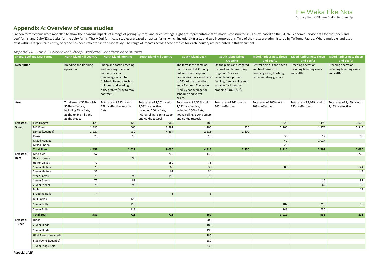### He Waka Eke Noa Primary Sector Climate Action Partnership

## <span id="page-21-0"></span>**Appendix A: Overview of case studies**

Sixteen farm systems were modelled to show the financial impacts of a range of pricing systems and price settings. Eight are representative farm models constructed in Farmax, based on the B+LNZ Economic Service data for th beef farms, and DairyNZ statistics for the dairy farms. The Māori farm case studies are based on actual farms, which include six trusts, and two incorporations. Two of the trusts are administered by Te Tumu Paeroa. Where m exist within a larger-scale entity, only one has been reflected in the case study. The range of impacts across these entities for each industry are presented in this document.

|                    | <b>Sheep, Beef and Deer Farms</b> | <b>North Island Hill Country</b>                                                                                 | ppendix A - Table I. Overview of Sheep, Beer and Beer familieuse studies<br><b>North Island Intensive</b>                                                                                           | <b>South Island Hill Country</b>                                                                                               | <b>South Island Deer</b>                                                                                                                                                                                                        | South Island Mixed                                                                                                                                                                                                | <b>Māori Agribusiness Sheep</b>                                                                                                | <b>Māori Agribusiness Sheep</b>                                                   | <b>Māori Agribusiness Sheep</b>                                                   |
|--------------------|-----------------------------------|------------------------------------------------------------------------------------------------------------------|-----------------------------------------------------------------------------------------------------------------------------------------------------------------------------------------------------|--------------------------------------------------------------------------------------------------------------------------------|---------------------------------------------------------------------------------------------------------------------------------------------------------------------------------------------------------------------------------|-------------------------------------------------------------------------------------------------------------------------------------------------------------------------------------------------------------------|--------------------------------------------------------------------------------------------------------------------------------|-----------------------------------------------------------------------------------|-----------------------------------------------------------------------------------|
| <b>Description</b> |                                   | <b>Breeding and finishing</b><br>operation.                                                                      | Sheep and cattle breeding<br>and finishing operation<br>with only a small<br>percentage of lambs<br>finished. Steers, a techno<br>bull-beef and yearling<br>dairy grazers (May to May<br>contract). |                                                                                                                                | The farm is the same as<br>South Island Hill Country<br>but with the sheep and<br>beef operation scaled back<br>to 53% of the operation<br>and 47% deer. The model<br>used 5-year average for<br>schedule and velvet<br>prices. | <b>Cropping</b><br>On the plains and irrigated<br>by pivot and lateral spray<br>irrigation. Soils are<br>versatile, of optimum<br>fertility, free draining and<br>suitable for intensive<br>cropping (LUC 1 & 2). | and Beef 1<br><b>Central North Island sheep</b><br>and beef farm with<br>breeding ewes, finishing<br>cattle and dairy grazers. | and Beef 2<br><b>Breeding operation</b><br>including breeding ewes<br>and cattle. | and Beef 3<br><b>Breeding operation</b><br>including breeding ewes<br>and cattle. |
| Area               |                                   | Total area of 525ha with<br>507ha effective,<br>including 53ha flats,<br>238ha rolling hills and<br>234ha steep. | Total area of 290ha with<br>278ha effective, mostly<br>flats.                                                                                                                                       | Total area of 1,562ha with<br>1,532ha effective,<br>including 200ha flats,<br>409ha rolling, 326ha steep<br>and 627ha tussock. | Total area of 1,562ha with<br>1,532ha effective,<br>including 200ha flats,<br>409ha rolling, 326ha steep<br>and 627ha tussock.                                                                                                  | Total area of 261ha with<br>245ha effective                                                                                                                                                                       | Total area of 966ha with<br>908ha effective.                                                                                   | Total area of 1,079ha with<br>750ha effective.                                    | Total area of 1,459ha with<br>1,153ha effective                                   |
| <b>Livestock</b>   | <b>Ewe Hogget</b>                 | 420                                                                                                              | 420                                                                                                                                                                                                 | 969                                                                                                                            | 485                                                                                                                                                                                                                             |                                                                                                                                                                                                                   | 820                                                                                                                            | 495                                                                               | 1,600                                                                             |
| <b>Sheep</b>       | <b>MA Ewes</b>                    | 1,680                                                                                                            | 660                                                                                                                                                                                                 | 3,591                                                                                                                          | 1,796                                                                                                                                                                                                                           | 250                                                                                                                                                                                                               | 2,200                                                                                                                          | 1,274                                                                             | 5,345                                                                             |
|                    | Lambs (weaned)                    | 2,127                                                                                                            | 939                                                                                                                                                                                                 | 4,434                                                                                                                          | 2,216                                                                                                                                                                                                                           | 2,600                                                                                                                                                                                                             |                                                                                                                                |                                                                                   |                                                                                   |
|                    | Rams                              | 25                                                                                                               | 10                                                                                                                                                                                                  | 36                                                                                                                             | 18                                                                                                                                                                                                                              |                                                                                                                                                                                                                   | 30 <sub>o</sub>                                                                                                                | 12                                                                                | 85                                                                                |
|                    | <b>Mixed Hogget</b>               |                                                                                                                  |                                                                                                                                                                                                     |                                                                                                                                |                                                                                                                                                                                                                                 |                                                                                                                                                                                                                   | 40                                                                                                                             | 1,017                                                                             |                                                                                   |
|                    | Mixed Sheep                       |                                                                                                                  |                                                                                                                                                                                                     |                                                                                                                                |                                                                                                                                                                                                                                 |                                                                                                                                                                                                                   | 20                                                                                                                             |                                                                                   |                                                                                   |
|                    | <b>Total Sheep</b>                | 4,252                                                                                                            | 2,029                                                                                                                                                                                               | 9,030                                                                                                                          | 4,515                                                                                                                                                                                                                           | 2,850                                                                                                                                                                                                             | 3,110                                                                                                                          | 2,798                                                                             | 7,030                                                                             |
| Livestock          | <b>MA Cows</b>                    | 157                                                                                                              |                                                                                                                                                                                                     | 279                                                                                                                            | 140                                                                                                                                                                                                                             |                                                                                                                                                                                                                   |                                                                                                                                |                                                                                   | 270                                                                               |
| Beef               | <b>Dairy Grazers</b>              |                                                                                                                  | 90                                                                                                                                                                                                  |                                                                                                                                |                                                                                                                                                                                                                                 |                                                                                                                                                                                                                   |                                                                                                                                |                                                                                   |                                                                                   |
|                    | <b>Heifer Calves</b>              | 79                                                                                                               |                                                                                                                                                                                                     | 150                                                                                                                            | 75                                                                                                                                                                                                                              |                                                                                                                                                                                                                   |                                                                                                                                |                                                                                   |                                                                                   |
|                    | 1-year Heifers                    | 78                                                                                                               |                                                                                                                                                                                                     | 69                                                                                                                             | 35                                                                                                                                                                                                                              |                                                                                                                                                                                                                   | 689                                                                                                                            |                                                                                   | 144                                                                               |
|                    | 2-year Heifers                    | 37                                                                                                               |                                                                                                                                                                                                     | 67                                                                                                                             | 34                                                                                                                                                                                                                              |                                                                                                                                                                                                                   |                                                                                                                                |                                                                                   | 144                                                                               |
|                    | <b>Steer Calves</b>               | 79                                                                                                               | 90                                                                                                                                                                                                  | 150                                                                                                                            | 75                                                                                                                                                                                                                              |                                                                                                                                                                                                                   |                                                                                                                                |                                                                                   |                                                                                   |
|                    | 1-year Steers                     | 77                                                                                                               | 89                                                                                                                                                                                                  |                                                                                                                                |                                                                                                                                                                                                                                 |                                                                                                                                                                                                                   |                                                                                                                                | 14                                                                                | 97                                                                                |
|                    | 2-year Steers                     | 78                                                                                                               | 90                                                                                                                                                                                                  |                                                                                                                                |                                                                                                                                                                                                                                 |                                                                                                                                                                                                                   |                                                                                                                                | 69                                                                                | 95                                                                                |
|                    | <b>Bulls</b>                      |                                                                                                                  |                                                                                                                                                                                                     |                                                                                                                                |                                                                                                                                                                                                                                 |                                                                                                                                                                                                                   |                                                                                                                                |                                                                                   | 13                                                                                |
|                    | <b>Breeding Bulls</b>             | $\Delta$                                                                                                         |                                                                                                                                                                                                     | 6                                                                                                                              | $\mathbf{3}$                                                                                                                                                                                                                    |                                                                                                                                                                                                                   |                                                                                                                                |                                                                                   |                                                                                   |
|                    | <b>Bull Calves</b>                |                                                                                                                  | 120                                                                                                                                                                                                 |                                                                                                                                |                                                                                                                                                                                                                                 |                                                                                                                                                                                                                   |                                                                                                                                |                                                                                   |                                                                                   |
|                    | 1-year Bulls                      |                                                                                                                  | 119                                                                                                                                                                                                 |                                                                                                                                |                                                                                                                                                                                                                                 |                                                                                                                                                                                                                   | 182                                                                                                                            | 216                                                                               | 50                                                                                |
|                    | 2-year Bulls                      |                                                                                                                  | 118                                                                                                                                                                                                 |                                                                                                                                |                                                                                                                                                                                                                                 |                                                                                                                                                                                                                   | 148                                                                                                                            | 636                                                                               |                                                                                   |
|                    | <b>Total Beef</b>                 | 589                                                                                                              | 716                                                                                                                                                                                                 | 721                                                                                                                            | 362                                                                                                                                                                                                                             |                                                                                                                                                                                                                   | 1,019                                                                                                                          | 935                                                                               | 813                                                                               |
| Livestock          | Hinds                             |                                                                                                                  |                                                                                                                                                                                                     |                                                                                                                                | 900                                                                                                                                                                                                                             |                                                                                                                                                                                                                   |                                                                                                                                |                                                                                   |                                                                                   |
| – Deer             | 2-year Hinds                      |                                                                                                                  |                                                                                                                                                                                                     |                                                                                                                                | 185                                                                                                                                                                                                                             |                                                                                                                                                                                                                   |                                                                                                                                |                                                                                   |                                                                                   |
|                    | 1-year Hinds                      |                                                                                                                  |                                                                                                                                                                                                     |                                                                                                                                | 190                                                                                                                                                                                                                             |                                                                                                                                                                                                                   |                                                                                                                                |                                                                                   |                                                                                   |
|                    | Hind Fawns (weaned)               |                                                                                                                  |                                                                                                                                                                                                     |                                                                                                                                | 280                                                                                                                                                                                                                             |                                                                                                                                                                                                                   |                                                                                                                                |                                                                                   |                                                                                   |
|                    | Stag Fawns (weaned)               |                                                                                                                  |                                                                                                                                                                                                     |                                                                                                                                | 280                                                                                                                                                                                                                             |                                                                                                                                                                                                                   |                                                                                                                                |                                                                                   |                                                                                   |
|                    | 1-year Stags (sold)               |                                                                                                                  |                                                                                                                                                                                                     |                                                                                                                                | 230                                                                                                                                                                                                                             |                                                                                                                                                                                                                   |                                                                                                                                |                                                                                   |                                                                                   |

*Appendix A - Table 1: Overview of Sheep, Beef and Deer farm case studies*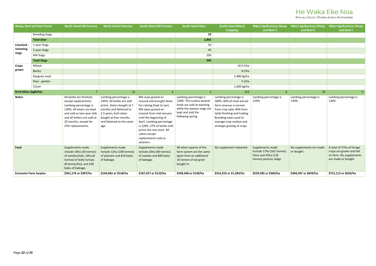Primary Sector Climate Action Partnership

| <b>Sheep, Beef and Deer Farms</b> |                       | <b>North Island Hill Country</b>                                                                                                                                                                                | <b>North Island Intensive</b>                                                                                                                                                                   | <b>South Island Hill Country</b>                                                                                                                                                                                                                                                                    | <b>South Island Deer</b>                                                                                                                               | <b>South Island Mixed</b>                                                                                                                                                                                                 | <b>Māori Agribusiness Sheep</b>                                                                | <b>Māori Agribusiness Sheep</b>       | <b>Māori Agribusiness Sheep</b>                                                                        |
|-----------------------------------|-----------------------|-----------------------------------------------------------------------------------------------------------------------------------------------------------------------------------------------------------------|-------------------------------------------------------------------------------------------------------------------------------------------------------------------------------------------------|-----------------------------------------------------------------------------------------------------------------------------------------------------------------------------------------------------------------------------------------------------------------------------------------------------|--------------------------------------------------------------------------------------------------------------------------------------------------------|---------------------------------------------------------------------------------------------------------------------------------------------------------------------------------------------------------------------------|------------------------------------------------------------------------------------------------|---------------------------------------|--------------------------------------------------------------------------------------------------------|
|                                   |                       |                                                                                                                                                                                                                 |                                                                                                                                                                                                 |                                                                                                                                                                                                                                                                                                     |                                                                                                                                                        | <b>Cropping</b>                                                                                                                                                                                                           | and Beef 1                                                                                     | and Beef 2                            | and Beef 3                                                                                             |
|                                   | <b>Breeding Stags</b> |                                                                                                                                                                                                                 |                                                                                                                                                                                                 |                                                                                                                                                                                                                                                                                                     | 29                                                                                                                                                     |                                                                                                                                                                                                                           |                                                                                                |                                       |                                                                                                        |
|                                   | <b>Total Deer</b>     |                                                                                                                                                                                                                 |                                                                                                                                                                                                 |                                                                                                                                                                                                                                                                                                     | 1,865                                                                                                                                                  |                                                                                                                                                                                                                           |                                                                                                |                                       |                                                                                                        |
| Livestock                         | 1-year Stags          |                                                                                                                                                                                                                 |                                                                                                                                                                                                 |                                                                                                                                                                                                                                                                                                     | 50                                                                                                                                                     |                                                                                                                                                                                                                           |                                                                                                |                                       |                                                                                                        |
| <b>Velveting</b><br>stags         | 2-year Stags          |                                                                                                                                                                                                                 |                                                                                                                                                                                                 |                                                                                                                                                                                                                                                                                                     | 45                                                                                                                                                     |                                                                                                                                                                                                                           |                                                                                                |                                       |                                                                                                        |
|                                   | <b>MA Stags</b>       |                                                                                                                                                                                                                 |                                                                                                                                                                                                 |                                                                                                                                                                                                                                                                                                     | 200                                                                                                                                                    |                                                                                                                                                                                                                           |                                                                                                |                                       |                                                                                                        |
|                                   | <b>Total Stags</b>    |                                                                                                                                                                                                                 |                                                                                                                                                                                                 |                                                                                                                                                                                                                                                                                                     | 295                                                                                                                                                    |                                                                                                                                                                                                                           |                                                                                                |                                       |                                                                                                        |
| <b>Crops</b>                      | Wheat                 |                                                                                                                                                                                                                 |                                                                                                                                                                                                 |                                                                                                                                                                                                                                                                                                     |                                                                                                                                                        | 10.5 t/ha                                                                                                                                                                                                                 |                                                                                                |                                       |                                                                                                        |
| grown                             | Barley                |                                                                                                                                                                                                                 |                                                                                                                                                                                                 |                                                                                                                                                                                                                                                                                                     |                                                                                                                                                        | 8 t/ha                                                                                                                                                                                                                    |                                                                                                |                                       |                                                                                                        |
|                                   | Ryegrass seed         |                                                                                                                                                                                                                 |                                                                                                                                                                                                 |                                                                                                                                                                                                                                                                                                     |                                                                                                                                                        | 2,480 kg/ha                                                                                                                                                                                                               |                                                                                                |                                       |                                                                                                        |
|                                   | Peas - garden         |                                                                                                                                                                                                                 |                                                                                                                                                                                                 |                                                                                                                                                                                                                                                                                                     |                                                                                                                                                        | 5 t/ha                                                                                                                                                                                                                    |                                                                                                |                                       |                                                                                                        |
|                                   | Clover                |                                                                                                                                                                                                                 |                                                                                                                                                                                                 |                                                                                                                                                                                                                                                                                                     |                                                                                                                                                        | 1,000 kg/ha                                                                                                                                                                                                               |                                                                                                |                                       |                                                                                                        |
| N-Fertiliser (kgN/ha)             |                       | $\overline{7}$                                                                                                                                                                                                  | 21                                                                                                                                                                                              | $\overline{3}$                                                                                                                                                                                                                                                                                      | $\overline{3}$                                                                                                                                         | 215                                                                                                                                                                                                                       | 6 <sup>1</sup>                                                                                 | 10                                    |                                                                                                        |
| <b>Notes</b>                      |                       | All lambs are finished,<br>except replacements.<br>Lambing percentage is<br>130%. All steers are kept<br>and sold as two-year olds<br>and all heifers are sold at<br>20 months, except for<br>25% replacements. | Lambing percentage is<br>145%. All lambs are sold<br>prime. Steers bought at 7<br>months and fattened to<br>2.5 years; bull calves<br>bought at four months<br>and fattened to the same<br>age. | MA cows grazed on<br>tussock and brought down<br>for calving (Sept to Jan).<br>MA ewes grazed on<br>tussock from mid-January<br>until the beginning of<br>April. Lambing percentage<br>is 128%. 27% of lambs sold<br>prime the rest store. All<br>calves except<br>replacements sold as<br>weaners. | Lambing percentage is<br>128%. The surplus weaner<br>hinds are sold at weaning<br>while the weaner stags are<br>kept and sold the<br>following spring. | Lambing percentage is<br>180%. 60% of total annual<br>farm revenue is earned<br>from crop sales 40% from<br>lamb finishing and trading.<br>Breeding ewes used to<br>manage crop residue and<br>strategic grazing of crops | Lambing percentage is<br>134%.                                                                 | Lambing percentage is<br>130%         | Lambing percentage is<br>130%                                                                          |
| Feed                              |                       | Supplements made<br>include 10ha (30 tonnes)<br>of swedes/kale, 10ha (8<br>tonnes) of leafy turnips<br>(8 tonnes/ha), and 240<br>bales of baleage.                                                              | Supplements made<br>include 12ha (108 tonnes)<br>of plantain and 610 bales<br>of baleage.                                                                                                       | Supplements made<br>include 20ha (90 tonnes)<br>of swedes and 600 bales<br>of baleage.                                                                                                                                                                                                              | All other aspects of the<br>farm system are the same<br>apart from an additional<br>10 tonnes of oat grain<br>bought in.                               | No supplement imported.                                                                                                                                                                                                   | Supplements made<br>include 17ha (162 tonnes)<br>Chou and 42ha (126<br>tonnes) pasture silage. | No supplements are made<br>or bought. | A total of 57ha of forage<br>crops are grown and fed<br>on farm. No supplements<br>are made or bought. |
| <b>Economic Farm Surplus</b>      |                       | \$201,176 or \$397/ha                                                                                                                                                                                           | \$144,063 or \$518/ha                                                                                                                                                                           | \$187,327 or \$122/ha                                                                                                                                                                                                                                                                               | \$228,268 or \$149/ha                                                                                                                                  | \$314,253 or \$1,283/ha                                                                                                                                                                                                   | \$529,585 or \$583/ha                                                                          | \$494,397 or \$659/ha                 | \$731,113 or \$634/ha                                                                                  |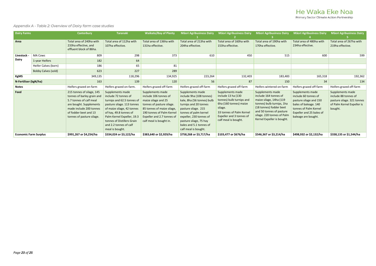Primary Sector Climate Action Partnership

#### *Appendix A - Table 2: Overview of Dairy farm case studies*

| <b>Dairy Farms</b>           |                            | <b>Canterbury</b>                                                                                                                                                                              | <b>Taranaki</b>                                                                                                                                                                                                                                                       | <b>Waikato/Bay of Plenty</b>                                                                                                                                                                                      | <b>Māori Agribusiness Dairy</b>                                                                                                                                                                                                                             | <b>Māori Agribusiness Dairy</b>                                                                                                                                                         | <b>Māori Agribusiness Dairy</b>                                                                                                                                                                                      | <b>Māori Agribusiness Dairy</b>                                                                                                                                         | <b>Māori Agribusiness Dairy</b>                                                                                 |
|------------------------------|----------------------------|------------------------------------------------------------------------------------------------------------------------------------------------------------------------------------------------|-----------------------------------------------------------------------------------------------------------------------------------------------------------------------------------------------------------------------------------------------------------------------|-------------------------------------------------------------------------------------------------------------------------------------------------------------------------------------------------------------------|-------------------------------------------------------------------------------------------------------------------------------------------------------------------------------------------------------------------------------------------------------------|-----------------------------------------------------------------------------------------------------------------------------------------------------------------------------------------|----------------------------------------------------------------------------------------------------------------------------------------------------------------------------------------------------------------------|-------------------------------------------------------------------------------------------------------------------------------------------------------------------------|-----------------------------------------------------------------------------------------------------------------|
| Area                         |                            | Total area of 240ha with<br>233ha effective, and<br>effluent block of 86ha.                                                                                                                    | Total area of 112ha with<br>107ha effective.                                                                                                                                                                                                                          | Total area of 136ha with<br>131ha effective.                                                                                                                                                                      | Total area of 213ha with<br>204ha effective.                                                                                                                                                                                                                | Total area of 160ha with<br>153ha effective.                                                                                                                                            | Total area of 190ha with<br>170ha effective.                                                                                                                                                                         | Total area of 480ha with<br>234ha effective.                                                                                                                            | Total area of 267ha with<br>219ha effective.                                                                    |
| Livestock                    | <b>MA Cows</b>             | 809                                                                                                                                                                                            | 298                                                                                                                                                                                                                                                                   | 373                                                                                                                                                                                                               | 610                                                                                                                                                                                                                                                         | 450                                                                                                                                                                                     | 515                                                                                                                                                                                                                  | 600                                                                                                                                                                     | 599                                                                                                             |
| Dairy                        | 1-year Heifers             | 182                                                                                                                                                                                            | 64                                                                                                                                                                                                                                                                    |                                                                                                                                                                                                                   |                                                                                                                                                                                                                                                             |                                                                                                                                                                                         |                                                                                                                                                                                                                      |                                                                                                                                                                         |                                                                                                                 |
|                              | Heifer Calves (born)       | 186                                                                                                                                                                                            | 65                                                                                                                                                                                                                                                                    | 81                                                                                                                                                                                                                |                                                                                                                                                                                                                                                             |                                                                                                                                                                                         |                                                                                                                                                                                                                      |                                                                                                                                                                         |                                                                                                                 |
|                              | <b>Bobby Calves (sold)</b> | 623                                                                                                                                                                                            | 227                                                                                                                                                                                                                                                                   | 289                                                                                                                                                                                                               |                                                                                                                                                                                                                                                             |                                                                                                                                                                                         |                                                                                                                                                                                                                      |                                                                                                                                                                         |                                                                                                                 |
| KgMS                         |                            | 349,135                                                                                                                                                                                        | 118,296                                                                                                                                                                                                                                                               | 134,925                                                                                                                                                                                                           | 223,264                                                                                                                                                                                                                                                     | 132,403                                                                                                                                                                                 | 183,483                                                                                                                                                                                                              | 165,318                                                                                                                                                                 | 192,362                                                                                                         |
| N-Fertiliser (kgN/ha)        |                            | 163                                                                                                                                                                                            | 139                                                                                                                                                                                                                                                                   | 120                                                                                                                                                                                                               | 56                                                                                                                                                                                                                                                          | 87                                                                                                                                                                                      | 150                                                                                                                                                                                                                  | 34                                                                                                                                                                      | 134                                                                                                             |
| <b>Notes</b>                 |                            | Heifers grazed on-farm                                                                                                                                                                         | Heifers grazed on-farm.                                                                                                                                                                                                                                               | Heifers grazed off-farm                                                                                                                                                                                           | Heifers grazed off-farm                                                                                                                                                                                                                                     | Heifers grazed off-farm                                                                                                                                                                 | Heifers wintered on-farm                                                                                                                                                                                             | Heifers grazed off-farm                                                                                                                                                 | Heifers grazed off-farm                                                                                         |
| Feed                         |                            | 215 tonnes of silage, 145<br>tonnes of barley grain and<br>5.7 tonnes of calf meal<br>are bought. Supplements<br>made include 200 tonnes<br>of fodder beet and 13<br>tonnes of pasture silage. | Supplements made<br>include 72 tonnes of<br>turnips and 62.5 tonnes of<br>pasture silage. 113 tonnes<br>of maize silage, 42 tonnes<br>of hay, 49.8 tonnes of<br>Palm Kernel Expeller, 19.3<br>tonnes of Distillers Grain<br>and 2.2 tonnes of calf<br>meal is bought. | Supplements made<br>include 106 tonnes of<br>maize silage and 25<br>tonnes of pasture silage.<br>85 tonnes of maize silage,<br>190 tonnes of Palm Kernel<br>Expeller and 2.7 tonnes of<br>calf meal is bought in. | Supplements made<br>include 9ha (108 tonnes)<br>kale, 8ha (56 tonnes) bulb<br>turnips and 20 tonnes<br>pasture silage. 215<br>tonnes of palm kernel<br>expeller, 230 tonnes of<br>pasture silage, 75 hay<br>bales and 5.1 tonnes of<br>calf meal is bought. | Supplements made<br>include 13 ha (130<br>tonnes) bulb turnips and<br>6ha (160 tonnes) maize<br>silage.<br>33 tonnes of Palm Kernel<br>Expeller and 3 tonnes of<br>calf meal is bought. | Supplements made<br>include 164 tonnes of<br>maize silage, 14ha (119<br>tonnes) bulb turnips, 1ha<br>(18 tonnes) fodder beet<br>and 50 tonnes of pasture<br>silage. 220 tonnes of Palm<br>Kernel Expeller is bought. | Supplements made<br>include 60 tonnes of<br>pasture silage and 150<br>bales of baleage. 140<br>tonnes of Palm Kernel<br>Expeller and 25 bales of<br>baleage are bought. | Supplements made<br>include 88 tonnes of<br>pasture silage. 321 tonnes<br>of Palm Kernel Expeller is<br>bought. |
| <b>Economic Farm Surplus</b> |                            | \$991,267 or \$4,254/ha                                                                                                                                                                        | \$334,024 or \$3,122/ha                                                                                                                                                                                                                                               | \$383,640 or \$2,929/ha                                                                                                                                                                                           | \$758,268 or \$3,717/ha                                                                                                                                                                                                                                     | \$103,477 or \$676/ha                                                                                                                                                                   | \$546,367 or \$3,214/ha                                                                                                                                                                                              | \$498,932 or \$2,132/ha                                                                                                                                                 | \$338,135 or \$1,544/ha                                                                                         |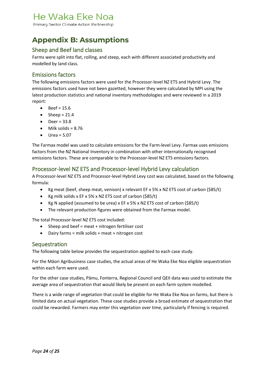Primary Sector Climate Action Partnership

## <span id="page-24-0"></span>**Appendix B: Assumptions**

#### Sheep and Beef land classes

Farms were split into flat, rolling, and steep, each with different associated productivity and modelled by land class.

#### Emissions factors

The following emissions factors were used for the Processor-level NZ ETS and Hybrid Levy. The emissions factors used have not been gazetted, however they were calculated by MPI using the latest production statistics and national inventory methodologies and were reviewed in a 2019 report:

- $\bullet$  Beef = 15.6
- Sheep =  $21.4$
- $\bullet$  Deer = 33.8
- $\bullet$  Milk solids = 8.76
- $\bullet$  Urea = 5.07

The Farmax model was used to calculate emissions for the Farm-level Levy. Farmax uses emissions factors from the NZ National Inventory in combination with other internationally recognised emissions factors. These are comparable to the Processor-level NZ ETS emissions factors.

#### Processor-level NZ ETS and Processor-level Hybrid Levy calculation

A Processor-level NZ ETS and Processor-level Hybrid Levy cost was calculated, based on the following formula:

- Kg meat (beef, sheep meat, venison) x relevant EF x 5% x NZ ETS cost of carbon (\$85/t)
- Kg milk solids x EF x 5% x NZ ETS cost of carbon (\$85/t)
- Kg N applied (assumed to be urea) x EF x 5% x NZ ETS cost of carbon (\$85/t)
- The relevant production figures were obtained from the Farmax model.

The total Processor-level NZ ETS cost included:

- Sheep and beef = meat + nitrogen fertiliser cost
- Dairy farms = milk solids + meat + nitrogen cost

#### **Sequestration**

The following table below provides the sequestration applied to each case study.

For the Māori Agribusiness case studies, the actual areas of He Waka Eke Noa eligible sequestration within each farm were used.

For the other case studies, Pāmu, Fonterra, Regional Council and QEII data was used to estimate the average area of sequestration that would likely be present on each farm system modelled.

There is a wide range of vegetation that could be eligible for He Waka Eke Noa on farms, but there is limited data on actual vegetation. These case studies provide a broad estimate of sequestration that could be rewarded. Farmers may enter this vegetation over time, particularly if fencing is required.